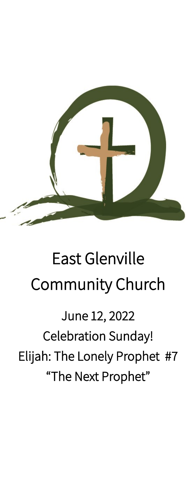

# East Glenville Community Church

## June 12, 2022 Celebration Sunday! Elijah: The Lonely Prophet #7 "The Next Prophet"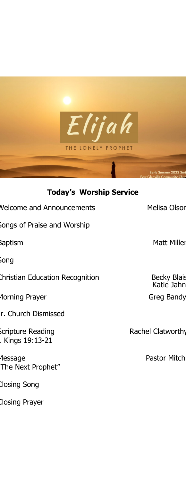

### **Today's Worship Service**

| <b>Velcome and Announcements</b>    | <b>Melisa Olsor</b>              |
|-------------------------------------|----------------------------------|
| Songs of Praise and Worship         |                                  |
| Baptism                             | <b>Matt Miller</b>               |
| Song                                |                                  |
| Christian Education Recognition     | <b>Becky Blais</b><br>Katie Jahn |
| Aorning Prayer                      | Greg Bandy                       |
| r. Church Dismissed                 |                                  |
| Scripture Reading<br>Kings 19:13-21 | Rachel Clatworthy                |
| essage<br>The Next Prophet"         | Pastor Mitch                     |
| Closing Song                        |                                  |

Closing Prayer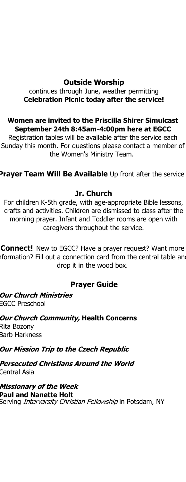#### **Outside Worship**

continues through June, weather permitting **Celebration Picnic today after the service!**

**Women are invited to the Priscilla Shirer Simulcast September 24th 8:45am-4:00pm here at EGCC** Registration tables will be available after the service each

Sunday this month. For questions please contact a member of the Women's Ministry Team.

**Prayer Team Will Be Available** Up front after the service

#### **Jr. Church**

For children K-5th grade, with age-appropriate Bible lessons, crafts and activities. Children are dismissed to class after the morning prayer. Infant and Toddler rooms are open with caregivers throughout the service.

**Connect!** New to EGCC? Have a prayer request? Want more iformation? Fill out a connection card from the central table and drop it in the wood box.

#### **Prayer Guide**

**Our Church Ministries** EGCC Preschool

**Our Church Community, Health Concerns** Rita Bozony Barb Harkness

**Our Mission Trip to the Czech Republic**

**Persecuted Christians Around the World** Central Asia

**Missionary of the Week Paul and Nanette Holt**  Serving *Intervarsity Christian Fellowship* in Potsdam, NY